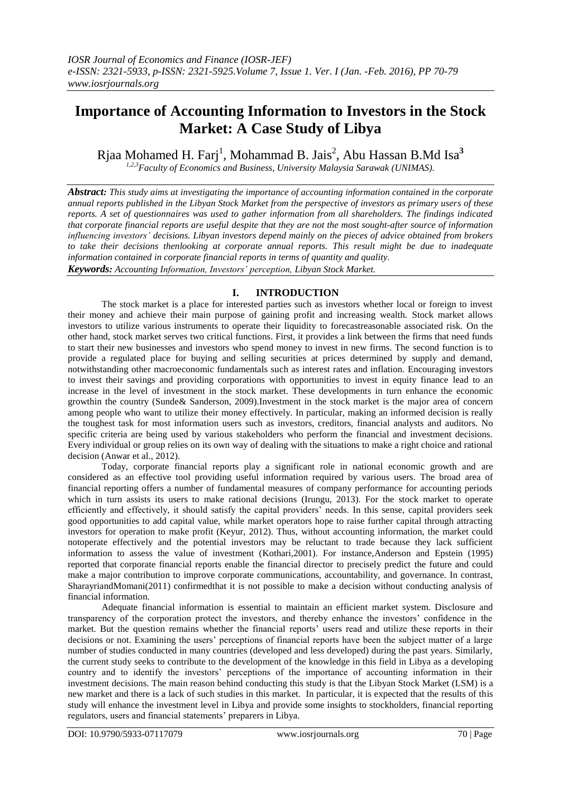# **Importance of Accounting Information to Investors in the Stock Market: A Case Study of Libya**

Rjaa Mohamed H. Farj<sup>1</sup>, Mohammad B. Jais<sup>2</sup>, Abu Hassan B.Md Isa<sup>3</sup> *1,2,3Faculty of Economics and Business, University Malaysia Sarawak (UNIMAS).*

*Abstract: This study aims at investigating the importance of accounting information contained in the corporate annual reports published in the Libyan Stock Market from the perspective of investors as primary users of these reports. A set of questionnaires was used to gather information from all shareholders. The findings indicated that corporate financial reports are useful despite that they are not the most sought-after source of information influencing investors' decisions. Libyan investors depend mainly on the pieces of advice obtained from brokers to take their decisions thenlooking at corporate annual reports. This result might be due to inadequate information contained in corporate financial reports in terms of quantity and quality.* 

*Keywords: Accounting Information, Investors' perception, Libyan Stock Market.*

## **I. INTRODUCTION**

The stock market is a place for interested parties such as investors whether local or foreign to invest their money and achieve their main purpose of gaining profit and increasing wealth. Stock market allows investors to utilize various instruments to operate their liquidity to forecastreasonable associated risk. On the other hand, stock market serves two critical functions. First, it provides a link between the firms that need funds to start their new businesses and investors who spend money to invest in new firms. The second function is to provide a regulated place for buying and selling securities at prices determined by supply and demand, notwithstanding other macroeconomic fundamentals such as interest rates and inflation. Encouraging investors to invest their savings and providing corporations with opportunities to invest in equity finance lead to an increase in the level of investment in the stock market. These developments in turn enhance the economic growthin the country (Sunde& Sanderson, 2009).Investment in the stock market is the major area of concern among people who want to utilize their money effectively. In particular, making an informed decision is really the toughest task for most information users such as investors, creditors, financial analysts and auditors. No specific criteria are being used by various stakeholders who perform the financial and investment decisions. Every individual or group relies on its own way of dealing with the situations to make a right choice and rational decision (Anwar et al., 2012).

Today, corporate financial reports play a significant role in national economic growth and are considered as an effective tool providing useful information required by various users. The broad area of financial reporting offers a number of fundamental measures of company performance for accounting periods which in turn assists its users to make rational decisions (Irungu, 2013). For the stock market to operate efficiently and effectively, it should satisfy the capital providers" needs. In this sense, capital providers seek good opportunities to add capital value, while market operators hope to raise further capital through attracting investors for operation to make profit (Keyur, 2012). Thus, without accounting information, the market could notoperate effectively and the potential investors may be reluctant to trade because they lack sufficient information to assess the value of investment (Kothari,2001). For instance,Anderson and Epstein (1995) reported that corporate financial reports enable the financial director to precisely predict the future and could make a major contribution to improve corporate communications, accountability, and governance. In contrast, SharayriandMomani(2011) confirmedthat it is not possible to make a decision without conducting analysis of financial information.

Adequate financial information is essential to maintain an efficient market system. Disclosure and transparency of the corporation protect the investors, and thereby enhance the investors" confidence in the market. But the question remains whether the financial reports' users read and utilize these reports in their decisions or not. Examining the users" perceptions of financial reports have been the subject matter of a large number of studies conducted in many countries (developed and less developed) during the past years. Similarly, the current study seeks to contribute to the development of the knowledge in this field in Libya as a developing country and to identify the investors' perceptions of the importance of accounting information in their investment decisions. The main reason behind conducting this study is that the Libyan Stock Market (LSM) is a new market and there is a lack of such studies in this market. In particular, it is expected that the results of this study will enhance the investment level in Libya and provide some insights to stockholders, financial reporting regulators, users and financial statements" preparers in Libya.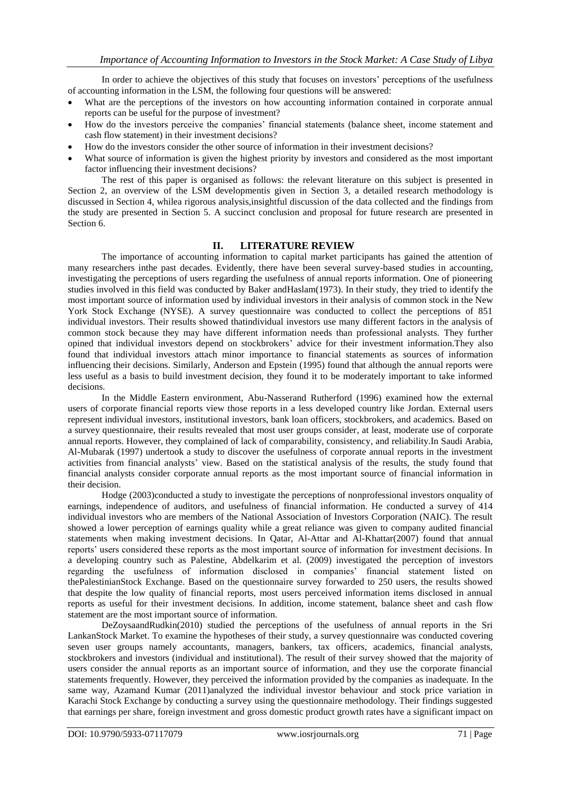In order to achieve the objectives of this study that focuses on investors' perceptions of the usefulness of accounting information in the LSM, the following four questions will be answered:

- What are the perceptions of the investors on how accounting information contained in corporate annual reports can be useful for the purpose of investment?
- How do the investors perceive the companies" financial statements (balance sheet, income statement and cash flow statement) in their investment decisions?
- How do the investors consider the other source of information in their investment decisions?
- What source of information is given the highest priority by investors and considered as the most important factor influencing their investment decisions?

The rest of this paper is organised as follows: the relevant literature on this subject is presented in Section 2, an overview of the LSM developmentis given in Section 3, a detailed research methodology is discussed in Section 4, whilea rigorous analysis,insightful discussion of the data collected and the findings from the study are presented in Section 5. A succinct conclusion and proposal for future research are presented in Section 6.

## **II. LITERATURE REVIEW**

The importance of accounting information to capital market participants has gained the attention of many researchers inthe past decades. Evidently, there have been several survey-based studies in accounting, investigating the perceptions of users regarding the usefulness of annual reports information. One of pioneering studies involved in this field was conducted by Baker andHaslam(1973). In their study, they tried to identify the most important source of information used by individual investors in their analysis of common stock in the New York Stock Exchange (NYSE). A survey questionnaire was conducted to collect the perceptions of 851 individual investors. Their results showed thatindividual investors use many different factors in the analysis of common stock because they may have different information needs than professional analysts. They further opined that individual investors depend on stockbrokers' advice for their investment information.They also found that individual investors attach minor importance to financial statements as sources of information influencing their decisions. Similarly, Anderson and Epstein (1995) found that although the annual reports were less useful as a basis to build investment decision, they found it to be moderately important to take informed decisions.

In the Middle Eastern environment, Abu-Nasserand Rutherford (1996) examined how the external users of corporate financial reports view those reports in a less developed country like Jordan. External users represent individual investors, institutional investors, bank loan officers, stockbrokers, and academics. Based on a survey questionnaire, their results revealed that most user groups consider, at least, moderate use of corporate annual reports. However, they complained of lack of comparability, consistency, and reliability.In Saudi Arabia, Al-Mubarak (1997) undertook a study to discover the usefulness of corporate annual reports in the investment activities from financial analysts" view. Based on the statistical analysis of the results, the study found that financial analysts consider corporate annual reports as the most important source of financial information in their decision.

Hodge (2003)conducted a study to investigate the perceptions of nonprofessional investors onquality of earnings, independence of auditors, and usefulness of financial information. He conducted a survey of 414 individual investors who are members of the National Association of Investors Corporation (NAIC). The result showed a lower perception of earnings quality while a great reliance was given to company audited financial statements when making investment decisions. In Qatar, Al-Attar and Al-Khattar(2007) found that annual reports' users considered these reports as the most important source of information for investment decisions. In a developing country such as Palestine, Abdelkarim et al. (2009) investigated the perception of investors regarding the usefulness of information disclosed in companies' financial statement listed on thePalestinianStock Exchange. Based on the questionnaire survey forwarded to 250 users, the results showed that despite the low quality of financial reports, most users perceived information items disclosed in annual reports as useful for their investment decisions. In addition, income statement, balance sheet and cash flow statement are the most important source of information.

DeZoysaandRudkin(2010) studied the perceptions of the usefulness of annual reports in the Sri LankanStock Market. To examine the hypotheses of their study, a survey questionnaire was conducted covering seven user groups namely accountants, managers, bankers, tax officers, academics, financial analysts, stockbrokers and investors (individual and institutional). The result of their survey showed that the majority of users consider the annual reports as an important source of information, and they use the corporate financial statements frequently. However, they perceived the information provided by the companies as inadequate. In the same way, Azamand Kumar (2011)analyzed the individual investor behaviour and stock price variation in Karachi Stock Exchange by conducting a survey using the questionnaire methodology. Their findings suggested that earnings per share, foreign investment and gross domestic product growth rates have a significant impact on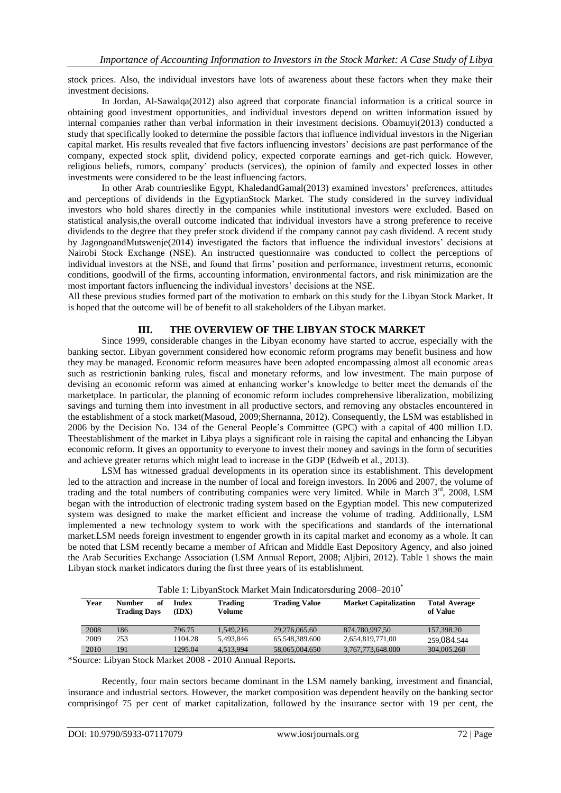stock prices. Also, the individual investors have lots of awareness about these factors when they make their investment decisions.

In Jordan, Al-Sawalqa(2012) also agreed that corporate financial information is a critical source in obtaining good investment opportunities, and individual investors depend on written information issued by internal companies rather than verbal information in their investment decisions. Obamuyi(2013) conducted a study that specifically looked to determine the possible factors that influence individual investors in the Nigerian capital market. His results revealed that five factors influencing investors" decisions are past performance of the company, expected stock split, dividend policy, expected corporate earnings and get-rich quick. However, religious beliefs, rumors, company" products (services), the opinion of family and expected losses in other investments were considered to be the least influencing factors.

In other Arab countrieslike Egypt, KhaledandGamal(2013) examined investors" preferences, attitudes and perceptions of dividends in the EgyptianStock Market. The study considered in the survey individual investors who hold shares directly in the companies while institutional investors were excluded. Based on statistical analysis,the overall outcome indicated that individual investors have a strong preference to receive dividends to the degree that they prefer stock dividend if the company cannot pay cash dividend. A recent study by JagongoandMutswenje(2014) investigated the factors that influence the individual investors' decisions at Nairobi Stock Exchange (NSE). An instructed questionnaire was conducted to collect the perceptions of individual investors at the NSE, and found that firms" position and performance, investment returns, economic conditions, goodwill of the firms, accounting information, environmental factors, and risk minimization are the most important factors influencing the individual investors' decisions at the NSE.

All these previous studies formed part of the motivation to embark on this study for the Libyan Stock Market. It is hoped that the outcome will be of benefit to all stakeholders of the Libyan market.

## **III. THE OVERVIEW OF THE LIBYAN STOCK MARKET**

Since 1999, considerable changes in the Libyan economy have started to accrue, especially with the banking sector. Libyan government considered how economic reform programs may benefit business and how they may be managed. Economic reform measures have been adopted encompassing almost all economic areas such as restrictionin banking rules, fiscal and monetary reforms, and low investment. The main purpose of devising an economic reform was aimed at enhancing worker"s knowledge to better meet the demands of the marketplace. In particular, the planning of economic reform includes comprehensive liberalization, mobilizing savings and turning them into investment in all productive sectors, and removing any obstacles encountered in the establishment of a stock market(Masoud, 2009;Shernanna, 2012). Consequently, the LSM was established in 2006 by the Decision No. 134 of the General People"s Committee (GPC) with a capital of 400 million LD. Theestablishment of the market in Libya plays a significant role in raising the capital and enhancing the Libyan economic reform. It gives an opportunity to everyone to invest their money and savings in the form of securities and achieve greater returns which might lead to increase in the GDP (Edweib et al., 2013).

LSM has witnessed gradual developments in its operation since its establishment. This development led to the attraction and increase in the number of local and foreign investors. In 2006 and 2007, the volume of trading and the total numbers of contributing companies were very limited. While in March 3rd, 2008, LSM began with the introduction of electronic trading system based on the Egyptian model. This new computerized system was designed to make the market efficient and increase the volume of trading. Additionally, LSM implemented a new technology system to work with the specifications and standards of the international market.LSM needs foreign investment to engender growth in its capital market and economy as a whole. It can be noted that LSM recently became a member of African and Middle East Depository Agency, and also joined the Arab Securities Exchange Association (LSM Annual Report, 2008; Aljbiri, 2012). Table 1 shows the main Libyan stock market indicators during the first three years of its establishment.

|      | Table 1: LibyanStock Market Main Indicators during 2008–2010 |                |                          |                                        |                              |                                  |  |  |
|------|--------------------------------------------------------------|----------------|--------------------------|----------------------------------------|------------------------------|----------------------------------|--|--|
| Year | <b>Number</b><br>of<br><b>Trading Days</b>                   | Index<br>(IDX) | <b>Trading</b><br>Volume | <b>Trading Value</b>                   | <b>Market Capitalization</b> | <b>Total Average</b><br>of Value |  |  |
| 2008 | 186                                                          | 796.75         | 1.549.216                | 29,276,065.60                          | 874,780,997,50               | 157,398.20                       |  |  |
| 2009 | 253                                                          | 1104.28        | 5.493.846                | 65.548.389.600                         | 2,654,819,771,00             | 259,084.544                      |  |  |
| 2010 | 191                                                          | 1295.04        | 4.513.994                | 58,065,004.650                         | 3,767,773,648.000            | 304,005.260                      |  |  |
|      | $\mathbf{r}$                                                 | 0.1111.0000    | $\bigcap_{n=1}^{\infty}$ | $\mathbf{1}$ $\mathbf{R}$ $\mathbf{1}$ |                              |                                  |  |  |

Table 1: Libyan  $\alpha$  to also Market Main Indicators during 2008–2010<sup>\*</sup>

\*Source: Libyan Stock Market 2008 - 2010 Annual Reports**.**

Recently, four main sectors became dominant in the LSM namely banking, investment and financial, insurance and industrial sectors. However, the market composition was dependent heavily on the banking sector comprisingof 75 per cent of market capitalization, followed by the insurance sector with 19 per cent, the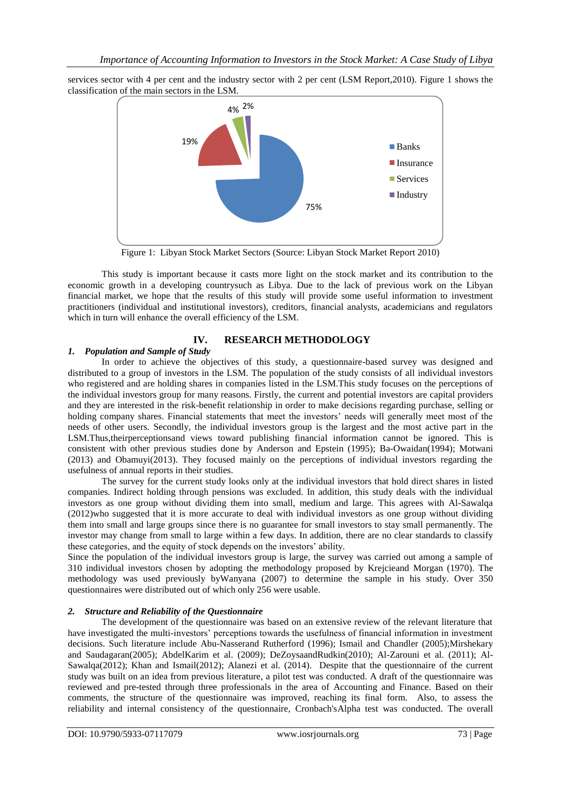services sector with 4 per cent and the industry sector with 2 per cent (LSM Report,2010). Figure 1 shows the classification of the main sectors in the LSM.



Figure 1: Libyan Stock Market Sectors (Source: Libyan Stock Market Report 2010)

This study is important because it casts more light on the stock market and its contribution to the economic growth in a developing countrysuch as Libya. Due to the lack of previous work on the Libyan financial market, we hope that the results of this study will provide some useful information to investment practitioners (individual and institutional investors), creditors, financial analysts, academicians and regulators which in turn will enhance the overall efficiency of the LSM.

## **IV. RESEARCH METHODOLOGY**

## *1. Population and Sample of Study*

In order to achieve the objectives of this study, a questionnaire-based survey was designed and distributed to a group of investors in the LSM. The population of the study consists of all individual investors who registered and are holding shares in companies listed in the LSM.This study focuses on the perceptions of the individual investors group for many reasons. Firstly, the current and potential investors are capital providers and they are interested in the risk-benefit relationship in order to make decisions regarding purchase, selling or holding company shares. Financial statements that meet the investors' needs will generally meet most of the needs of other users. Secondly, the individual investors group is the largest and the most active part in the LSM.Thus,theirperceptionsand views toward publishing financial information cannot be ignored. This is consistent with other previous studies done by Anderson and Epstein (1995); Ba-Owaidan(1994); Motwani (2013) and Obamuyi(2013). They focused mainly on the perceptions of individual investors regarding the usefulness of annual reports in their studies.

The survey for the current study looks only at the individual investors that hold direct shares in listed companies. Indirect holding through pensions was excluded. In addition, this study deals with the individual investors as one group without dividing them into small, medium and large. This agrees with Al-Sawalqa (2012)who suggested that it is more accurate to deal with individual investors as one group without dividing them into small and large groups since there is no guarantee for small investors to stay small permanently. The investor may change from small to large within a few days. In addition, there are no clear standards to classify these categories, and the equity of stock depends on the investors' ability.

Since the population of the individual investors group is large, the survey was carried out among a sample of 310 individual investors chosen by adopting the methodology proposed by Krejcieand Morgan (1970). The methodology was used previously byWanyana (2007) to determine the sample in his study. Over 350 questionnaires were distributed out of which only 256 were usable.

## *2. Structure and Reliability of the Questionnaire*

The development of the questionnaire was based on an extensive review of the relevant literature that have investigated the multi-investors' perceptions towards the usefulness of financial information in investment decisions. Such literature include Abu-Nasserand Rutherford (1996); Ismail and Chandler (2005);Mirshekary and Saudagaran(2005); AbdelKarim et al. (2009); DeZoysaandRudkin(2010); Al-Zarouni et al. (2011); Al-Sawalqa(2012); Khan and Ismail(2012); Alanezi et al. (2014). Despite that the questionnaire of the current study was built on an idea from previous literature, a pilot test was conducted. A draft of the questionnaire was reviewed and pre-tested through three professionals in the area of Accounting and Finance. Based on their comments, the structure of the questionnaire was improved, reaching its final form. Also, to assess the reliability and internal consistency of the questionnaire, Cronbach'sAlpha test was conducted. The overall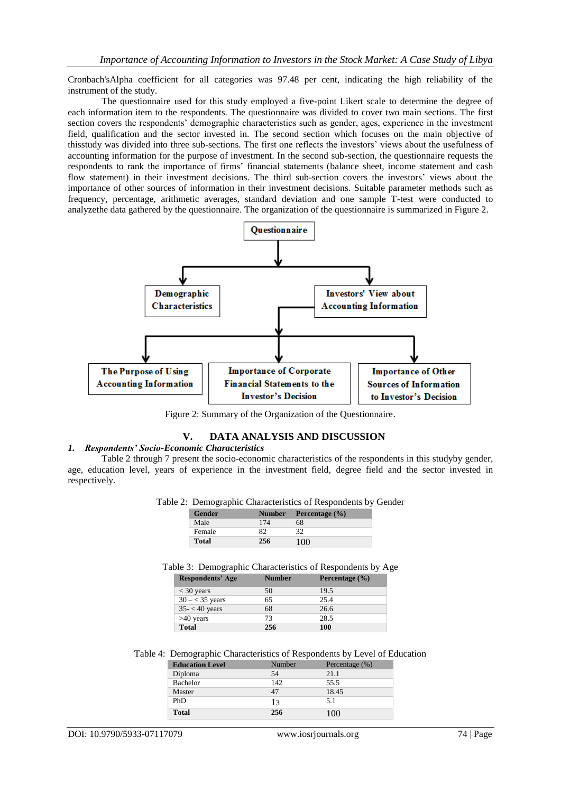Cronbach'sAlpha coefficient for all categories was 97.48 per cent, indicating the high reliability of the instrument of the study.

The questionnaire used for this study employed a five-point Likert scale to determine the degree of each information item to the respondents. The questionnaire was divided to cover two main sections. The first section covers the respondents' demographic characteristics such as gender, ages, experience in the investment field, qualification and the sector invested in. The second section which focuses on the main objective of thisstudy was divided into three sub-sections. The first one reflects the investors" views about the usefulness of accounting information for the purpose of investment. In the second sub-section, the questionnaire requests the respondents to rank the importance of firms" financial statements (balance sheet, income statement and cash flow statement) in their investment decisions. The third sub-section covers the investors' views about the importance of other sources of information in their investment decisions. Suitable parameter methods such as frequency, percentage, arithmetic averages, standard deviation and one sample T-test were conducted to analyzethe data gathered by the questionnaire. The organization of the questionnaire is summarized in Figure 2.



Figure 2: Summary of the Organization of the Questionnaire.

### **V. DATA ANALYSIS AND DISCUSSION**

#### *1. Respondents' Socio-Economic Characteristics*

Table 2 through 7 present the socio-economic characteristics of the respondents in this studyby gender, age, education level, years of experience in the investment field, degree field and the sector invested in respectively.

|  | Table 2: Demographic Characteristics of Respondents by Gender |  |  |
|--|---------------------------------------------------------------|--|--|
|--|---------------------------------------------------------------|--|--|

| . .           |     |                           |  |
|---------------|-----|---------------------------|--|
| <b>Gender</b> |     | Number Percentage $(\% )$ |  |
| Male          | 174 | 68                        |  |
| Female        |     |                           |  |
| <b>Total</b>  | 256 | 100                       |  |

Table 3: Demographic Characteristics of Respondents by Age

| <b>Respondents' Age</b> | <b>Number</b> | Percentage $(\% )$ |
|-------------------------|---------------|--------------------|
| $<$ 30 years            | 50            | 19.5               |
| $30 - < 35$ years       | 65            | 25.4               |
| $35 - 40$ years         | 68            | 26.6               |
| $>40$ years             | 73            | 28.5               |
| <b>Total</b>            | 256           | 100                |

#### Table 4: Demographic Characteristics of Respondents by Level of Education

| <b>Education Level</b> | Number | Percentage (%) |
|------------------------|--------|----------------|
| Diploma                | 54     | 2.1.1          |
| <b>Bachelor</b>        | 142    | 55.5           |
| Master                 | 47     | 18.45          |
| PhD                    | 13     | 5.1            |
| <b>Total</b>           | 256    | (1)            |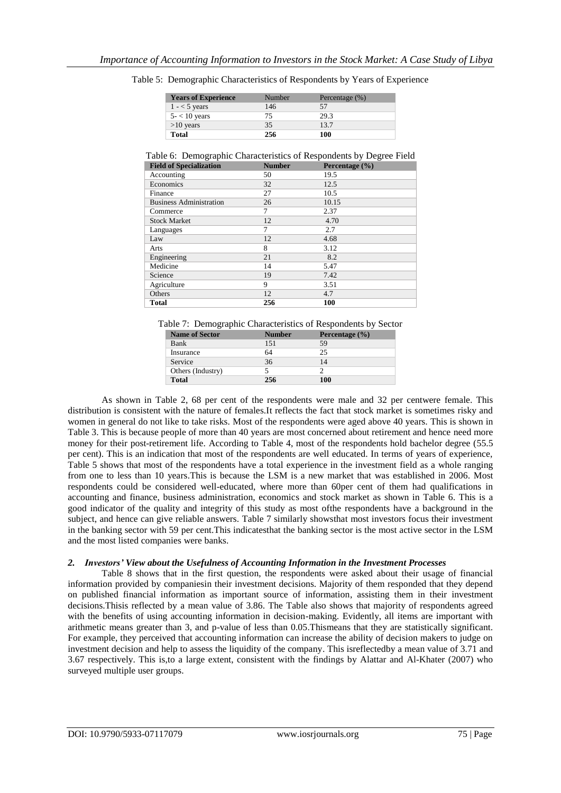| <b>Years of Experience</b> | Number | Percentage $(\%)$ |
|----------------------------|--------|-------------------|
| $1 - 5$ years              | 146    | 57                |
| $5 - 10$ years             | 75     | 29.3              |
| $>10$ years                | 35     | 13.7              |
| Total                      | 256    | 100               |

Table 5: Demographic Characteristics of Respondents by Years of Experience

Table 6: Demographic Characteristics of Respondents by Degree Field

| <b>Field of Specialization</b> | <b>Number</b> | Percentage $(\% )$ |
|--------------------------------|---------------|--------------------|
| Accounting                     | 50            | 19.5               |
| Economics                      | 32            | 12.5               |
| Finance                        | 27            | 10.5               |
| <b>Business Administration</b> | 26            | 10.15              |
| Commerce                       | 7             | 2.37               |
| <b>Stock Market</b>            | 12            | 4.70               |
| Languages                      | 7             | 2.7                |
| Law                            | 12            | 4.68               |
| Arts                           | 8             | 3.12               |
| Engineering                    | 21            | 8.2                |
| Medicine                       | 14            | 5.47               |
| Science                        | 19            | 7.42               |
| Agriculture                    | 9             | 3.51               |
| Others                         | 12            | 4.7                |
| <b>Total</b>                   | 256           | 100                |

Table 7: Demographic Characteristics of Respondents by Sector

| <b>Name of Sector</b> | <b>Number</b> | Percentage $(\% )$ |
|-----------------------|---------------|--------------------|
| Bank                  | 151           | 59                 |
| Insurance             | 64            | 25                 |
| Service               | 36            | 14                 |
| Others (Industry)     |               |                    |
| <b>Total</b>          | 256           | 100                |

As shown in Table 2, 68 per cent of the respondents were male and 32 per centwere female. This distribution is consistent with the nature of females.It reflects the fact that stock market is sometimes risky and women in general do not like to take risks. Most of the respondents were aged above 40 years. This is shown in Table 3. This is because people of more than 40 years are most concerned about retirement and hence need more money for their post-retirement life. According to Table 4, most of the respondents hold bachelor degree (55.5 per cent). This is an indication that most of the respondents are well educated. In terms of years of experience, Table 5 shows that most of the respondents have a total experience in the investment field as a whole ranging from one to less than 10 years.This is because the LSM is a new market that was established in 2006. Most respondents could be considered well-educated, where more than 60per cent of them had qualifications in accounting and finance, business administration, economics and stock market as shown in Table 6. This is a good indicator of the quality and integrity of this study as most ofthe respondents have a background in the subject, and hence can give reliable answers. Table 7 similarly showsthat most investors focus their investment in the banking sector with 59 per cent.This indicatesthat the banking sector is the most active sector in the LSM and the most listed companies were banks.

### *2. Investors' View about the Usefulness of Accounting Information in the Investment Processes*

Table 8 shows that in the first question, the respondents were asked about their usage of financial information provided by companiesin their investment decisions. Majority of them responded that they depend on published financial information as important source of information, assisting them in their investment decisions.Thisis reflected by a mean value of 3.86. The Table also shows that majority of respondents agreed with the benefits of using accounting information in decision-making. Evidently, all items are important with arithmetic means greater than 3, and p-value of less than 0.05.Thismeans that they are statistically significant. For example, they perceived that accounting information can increase the ability of decision makers to judge on investment decision and help to assess the liquidity of the company. This isreflectedby a mean value of 3.71 and 3.67 respectively. This is,to a large extent, consistent with the findings by Alattar and Al-Khater (2007) who surveyed multiple user groups.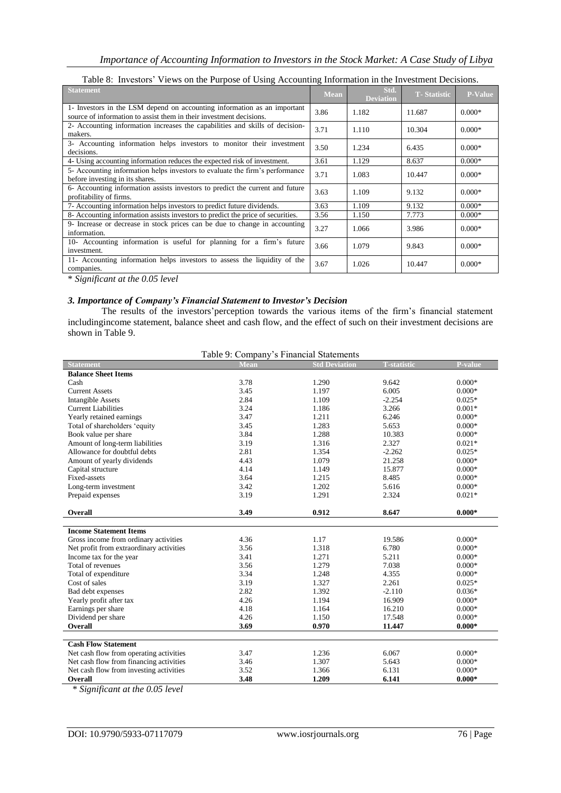| Table 0. Threstors wiews on the Furpose of Osing Accounting Information in the investment Decisions.                                            |      |                          |                     |                |
|-------------------------------------------------------------------------------------------------------------------------------------------------|------|--------------------------|---------------------|----------------|
| <b>Statement</b>                                                                                                                                | Mean | Std.<br><b>Deviation</b> | <b>T</b> -Statistic | <b>P-Value</b> |
| 1- Investors in the LSM depend on accounting information as an important<br>source of information to assist them in their investment decisions. | 3.86 | 1.182                    | 11.687              | $0.000*$       |
| 2- Accounting information increases the capabilities and skills of decision-<br>makers.                                                         | 3.71 | 1.110                    | 10.304              | $0.000*$       |
| 3- Accounting information helps investors to monitor their investment<br>decisions.                                                             | 3.50 | 1.234                    | 6.435               | $0.000*$       |
| 4- Using accounting information reduces the expected risk of investment.                                                                        | 3.61 | 1.129                    | 8.637               | $0.000*$       |
| 5- Accounting information helps investors to evaluate the firm's performance<br>before investing in its shares.                                 | 3.71 | 1.083                    | 10.447              | $0.000*$       |
| 6- Accounting information assists investors to predict the current and future<br>profitability of firms.                                        | 3.63 | 1.109                    | 9.132               | $0.000*$       |
| 7- Accounting information helps investors to predict future dividends.                                                                          | 3.63 | 1.109                    | 9.132               | $0.000*$       |
| 8- Accounting information assists investors to predict the price of securities.                                                                 | 3.56 | 1.150                    | 7.773               | $0.000*$       |
| 9- Increase or decrease in stock prices can be due to change in accounting<br>information.                                                      | 3.27 | 1.066                    | 3.986               | $0.000*$       |
| 10- Accounting information is useful for planning for a firm's future<br>investment.                                                            | 3.66 | 1.079                    | 9.843               | $0.000*$       |
| 11- Accounting information helps investors to assess the liquidity of the<br>companies.                                                         | 3.67 | 1.026                    | 10.447              | $0.000*$       |

Table 8: Investors" Views on the Purpose of Using Accounting Information in the Investment Decisions.

\* *Significant at the 0.05 level*

### *3. Importance of Company's Financial Statement to Investor's Decision*

The results of the investors' perception towards the various items of the firm's financial statement includingincome statement, balance sheet and cash flow, and the effect of such on their investment decisions are shown in Table 9.

| Table 9: Company's Financial Statements |
|-----------------------------------------|
|-----------------------------------------|

| <b>Statement</b>                         | Mean | <b>Std Deviation</b> | <b>T-statistic</b> | <b>P-value</b> |
|------------------------------------------|------|----------------------|--------------------|----------------|
| <b>Balance Sheet Items</b>               |      |                      |                    |                |
| Cash                                     | 3.78 | 1.290                | 9.642              | $0.000*$       |
| <b>Current Assets</b>                    | 3.45 | 1.197                | 6.005              | $0.000*$       |
| <b>Intangible Assets</b>                 | 2.84 | 1.109                | $-2.254$           | $0.025*$       |
| <b>Current Liabilities</b>               | 3.24 | 1.186                | 3.266              | $0.001*$       |
| Yearly retained earnings                 | 3.47 | 1.211                | 6.246              | $0.000*$       |
| Total of shareholders 'equity            | 3.45 | 1.283                | 5.653              | $0.000*$       |
| Book value per share                     | 3.84 | 1.288                | 10.383             | $0.000*$       |
| Amount of long-term liabilities          | 3.19 | 1.316                | 2.327              | $0.021*$       |
| Allowance for doubtful debts             | 2.81 | 1.354                | $-2.262$           | $0.025*$       |
| Amount of yearly dividends               | 4.43 | 1.079                | 21.258             | $0.000*$       |
| Capital structure                        | 4.14 | 1.149                | 15.877             | $0.000*$       |
| Fixed-assets                             | 3.64 | 1.215                | 8.485              | $0.000*$       |
| Long-term investment                     | 3.42 | 1.202                | 5.616              | $0.000*$       |
| Prepaid expenses                         | 3.19 | 1.291                | 2.324              | $0.021*$       |
|                                          |      |                      |                    |                |
| Overall                                  | 3.49 | 0.912                | 8.647              | $0.000*$       |
|                                          |      |                      |                    |                |
| <b>Income Statement Items</b>            |      |                      |                    |                |
| Gross income from ordinary activities    | 4.36 | 1.17                 | 19.586             | $0.000*$       |
| Net profit from extraordinary activities | 3.56 | 1.318                | 6.780              | $0.000*$       |
| Income tax for the year                  | 3.41 | 1.271                | 5.211              | $0.000*$       |
| Total of revenues                        | 3.56 | 1.279                | 7.038              | $0.000*$       |
| Total of expenditure                     | 3.34 | 1.248                | 4.355              | $0.000*$       |
| Cost of sales                            | 3.19 | 1.327                | 2.261              | $0.025*$       |
| Bad debt expenses                        | 2.82 | 1.392                | $-2.110$           | $0.036*$       |
| Yearly profit after tax                  | 4.26 | 1.194                | 16.909             | $0.000*$       |
| Earnings per share                       | 4.18 | 1.164                | 16.210             | $0.000*$       |
| Dividend per share                       | 4.26 | 1.150                | 17.548             | $0.000*$       |
| <b>Overall</b>                           | 3.69 | 0.970                | 11.447             | $0.000*$       |
|                                          |      |                      |                    |                |
| <b>Cash Flow Statement</b>               |      |                      |                    |                |
| Net cash flow from operating activities  | 3.47 | 1.236                | 6.067              | $0.000*$       |
| Net cash flow from financing activities  | 3.46 | 1.307                | 5.643              | $0.000*$       |
| Net cash flow from investing activities  | 3.52 | 1.366                | 6.131              | $0.000*$       |
| Overall                                  | 3.48 | 1.209                | 6.141              | $0.000*$       |

\* *Significant at the 0.05 level*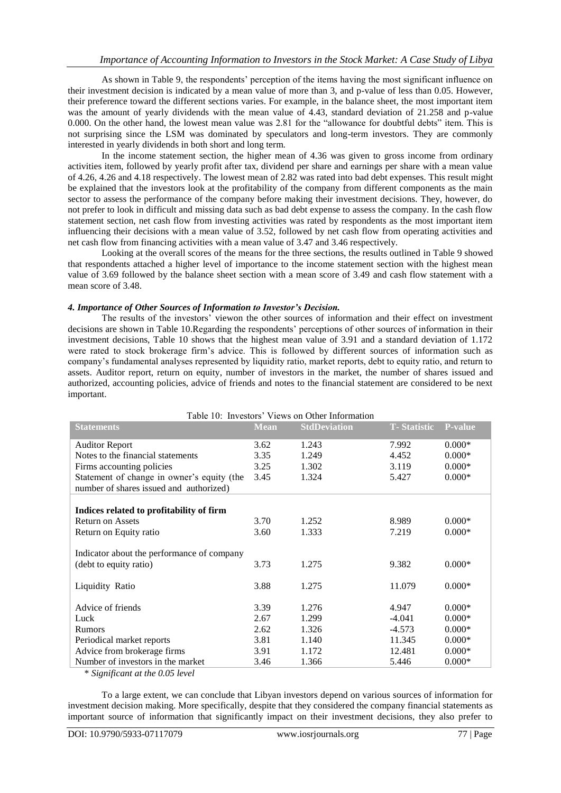As shown in Table 9, the respondents' perception of the items having the most significant influence on their investment decision is indicated by a mean value of more than 3, and p-value of less than 0.05. However, their preference toward the different sections varies. For example, in the balance sheet, the most important item was the amount of yearly dividends with the mean value of 4.43, standard deviation of 21.258 and p-value 0.000. On the other hand, the lowest mean value was 2.81 for the "allowance for doubtful debts" item. This is not surprising since the LSM was dominated by speculators and long-term investors. They are commonly interested in yearly dividends in both short and long term.

In the income statement section, the higher mean of 4.36 was given to gross income from ordinary activities item, followed by yearly profit after tax, dividend per share and earnings per share with a mean value of 4.26, 4.26 and 4.18 respectively. The lowest mean of 2.82 was rated into bad debt expenses. This result might be explained that the investors look at the profitability of the company from different components as the main sector to assess the performance of the company before making their investment decisions. They, however, do not prefer to look in difficult and missing data such as bad debt expense to assess the company. In the cash flow statement section, net cash flow from investing activities was rated by respondents as the most important item influencing their decisions with a mean value of 3.52, followed by net cash flow from operating activities and net cash flow from financing activities with a mean value of 3.47 and 3.46 respectively.

Looking at the overall scores of the means for the three sections, the results outlined in Table 9 showed that respondents attached a higher level of importance to the income statement section with the highest mean value of 3.69 followed by the balance sheet section with a mean score of 3.49 and cash flow statement with a mean score of 3.48.

### *4. Importance of Other Sources of Information to Investor's Decision.*

The results of the investors' viewon the other sources of information and their effect on investment decisions are shown in Table 10.Regarding the respondents" perceptions of other sources of information in their investment decisions, Table 10 shows that the highest mean value of 3.91 and a standard deviation of 1.172 were rated to stock brokerage firm"s advice. This is followed by different sources of information such as company"s fundamental analyses represented by liquidity ratio, market reports, debt to equity ratio, and return to assets. Auditor report, return on equity, number of investors in the market, the number of shares issued and authorized, accounting policies, advice of friends and notes to the financial statement are considered to be next important.

| Table 10: Investors' Views on Other Information |             |                     |                     |                |
|-------------------------------------------------|-------------|---------------------|---------------------|----------------|
| <b>Statements</b>                               | <b>Mean</b> | <b>StdDeviation</b> | <b>T</b> -Statistic | <b>P-value</b> |
| <b>Auditor Report</b>                           | 3.62        | 1.243               | 7.992               | $0.000*$       |
| Notes to the financial statements               | 3.35        | 1.249               | 4.452               | $0.000*$       |
| Firms accounting policies                       | 3.25        | 1.302               | 3.119               | $0.000*$       |
| Statement of change in owner's equity (the      | 3.45        | 1.324               | 5.427               | $0.000*$       |
| number of shares issued and authorized)         |             |                     |                     |                |
|                                                 |             |                     |                     |                |
| Indices related to profitability of firm        |             |                     |                     |                |
| <b>Return on Assets</b>                         | 3.70        | 1.252               | 8.989               | $0.000*$       |
| Return on Equity ratio                          | 3.60        | 1.333               | 7.219               | $0.000*$       |
|                                                 |             |                     |                     |                |
| Indicator about the performance of company      |             |                     |                     |                |
| (debt to equity ratio)                          | 3.73        | 1.275               | 9.382               | $0.000*$       |
|                                                 |             |                     |                     |                |
| Liquidity Ratio                                 | 3.88        | 1.275               | 11.079              | $0.000*$       |
|                                                 |             |                     |                     |                |
| Advice of friends                               | 3.39        | 1.276               | 4.947               | $0.000*$       |
| Luck                                            | 2.67        | 1.299               | $-4.041$            | $0.000*$       |
| <b>Rumors</b>                                   | 2.62        | 1.326               | $-4.573$            | $0.000*$       |
| Periodical market reports                       | 3.81        | 1.140               | 11.345              | $0.000*$       |
| Advice from brokerage firms                     | 3.91        | 1.172               | 12.481              | $0.000*$       |
| Number of investors in the market               | 3.46        | 1.366               | 5.446               | $0.000*$       |

\* *Significant at the 0.05 level*

To a large extent, we can conclude that Libyan investors depend on various sources of information for investment decision making. More specifically, despite that they considered the company financial statements as important source of information that significantly impact on their investment decisions, they also prefer to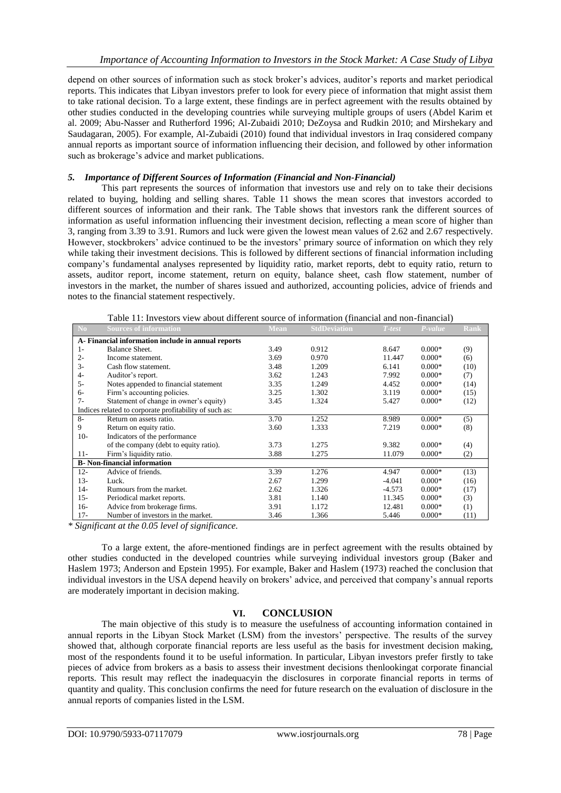depend on other sources of information such as stock broker"s advices, auditor"s reports and market periodical reports. This indicates that Libyan investors prefer to look for every piece of information that might assist them to take rational decision. To a large extent, these findings are in perfect agreement with the results obtained by other studies conducted in the developing countries while surveying multiple groups of users (Abdel Karim et al. 2009; Abu-Nasser and Rutherford 1996; Al-Zubaidi 2010; DeZoysa and Rudkin 2010; and Mirshekary and Saudagaran, 2005). For example, Al-Zubaidi (2010) found that individual investors in Iraq considered company annual reports as important source of information influencing their decision, and followed by other information such as brokerage's advice and market publications.

## *5. Importance of Different Sources of Information (Financial and Non-Financial)*

This part represents the sources of information that investors use and rely on to take their decisions related to buying, holding and selling shares. Table 11 shows the mean scores that investors accorded to different sources of information and their rank. The Table shows that investors rank the different sources of information as useful information influencing their investment decision, reflecting a mean score of higher than 3, ranging from 3.39 to 3.91. Rumors and luck were given the lowest mean values of 2.62 and 2.67 respectively. However, stockbrokers' advice continued to be the investors' primary source of information on which they rely while taking their investment decisions. This is followed by different sections of financial information including company"s fundamental analyses represented by liquidity ratio, market reports, debt to equity ratio, return to assets, auditor report, income statement, return on equity, balance sheet, cash flow statement, number of investors in the market, the number of shares issued and authorized, accounting policies, advice of friends and notes to the financial statement respectively.

Table 11: Investors view about different source of information (financial and non-financial)

| No                                                     | <b>Sources of information</b>          | Mean | <b>StdDeviation</b> | $T-test$ | P-value  | Rank |
|--------------------------------------------------------|----------------------------------------|------|---------------------|----------|----------|------|
| A- Financial information include in annual reports     |                                        |      |                     |          |          |      |
| $1-$                                                   | Balance Sheet.                         | 3.49 | 0.912               | 8.647    | $0.000*$ | (9)  |
| $2 -$                                                  | Income statement.                      | 3.69 | 0.970               | 11.447   | $0.000*$ | (6)  |
| $3-$                                                   | Cash flow statement.                   | 3.48 | 1.209               | 6.141    | $0.000*$ | (10) |
| $4-$                                                   | Auditor's report.                      | 3.62 | 1.243               | 7.992    | $0.000*$ | (7)  |
| $5 -$                                                  | Notes appended to financial statement  | 3.35 | 1.249               | 4.452    | $0.000*$ | (14) |
| $6-$                                                   | Firm's accounting policies.            | 3.25 | 1.302               | 3.119    | $0.000*$ | (15) |
| $7 -$                                                  | Statement of change in owner's equity) | 3.45 | 1.324               | 5.427    | $0.000*$ | (12) |
| Indices related to corporate profitability of such as: |                                        |      |                     |          |          |      |
| $8-$                                                   | Return on assets ratio.                | 3.70 | 1.252               | 8.989    | $0.000*$ | (5)  |
| 9                                                      | Return on equity ratio.                | 3.60 | 1.333               | 7.219    | $0.000*$ | (8)  |
| $10-$                                                  | Indicators of the performance          |      |                     |          |          |      |
|                                                        | of the company (debt to equity ratio). | 3.73 | 1.275               | 9.382    | $0.000*$ | (4)  |
| $11 -$                                                 | Firm's liquidity ratio.                | 3.88 | 1.275               | 11.079   | $0.000*$ | (2)  |
| <b>B</b> - Non-financial information                   |                                        |      |                     |          |          |      |
| $12 -$                                                 | Advice of friends.                     | 3.39 | 1.276               | 4.947    | $0.000*$ | (13) |
| $13-$                                                  | Luck.                                  | 2.67 | 1.299               | $-4.041$ | $0.000*$ | (16) |
| $14-$                                                  | Rumours from the market.               | 2.62 | 1.326               | $-4.573$ | $0.000*$ | (17) |
| $15 -$                                                 | Periodical market reports.             | 3.81 | 1.140               | 11.345   | $0.000*$ | (3)  |
| $16-$                                                  | Advice from brokerage firms.           | 3.91 | 1.172               | 12.481   | $0.000*$ | (1)  |
| $17-$                                                  | Number of investors in the market.     | 3.46 | 1.366               | 5.446    | $0.000*$ | (11) |

*\* Significant at the 0.05 level of significance.* 

To a large extent, the afore-mentioned findings are in perfect agreement with the results obtained by other studies conducted in the developed countries while surveying individual investors group (Baker and Haslem 1973; Anderson and Epstein 1995). For example, Baker and Haslem (1973) reached the conclusion that individual investors in the USA depend heavily on brokers" advice, and perceived that company"s annual reports are moderately important in decision making.

## **VI. CONCLUSION**

The main objective of this study is to measure the usefulness of accounting information contained in annual reports in the Libyan Stock Market (LSM) from the investors' perspective. The results of the survey showed that, although corporate financial reports are less useful as the basis for investment decision making, most of the respondents found it to be useful information. In particular, Libyan investors prefer firstly to take pieces of advice from brokers as a basis to assess their investment decisions thenlookingat corporate financial reports. This result may reflect the inadequacyin the disclosures in corporate financial reports in terms of quantity and quality. This conclusion confirms the need for future research on the evaluation of disclosure in the annual reports of companies listed in the LSM.